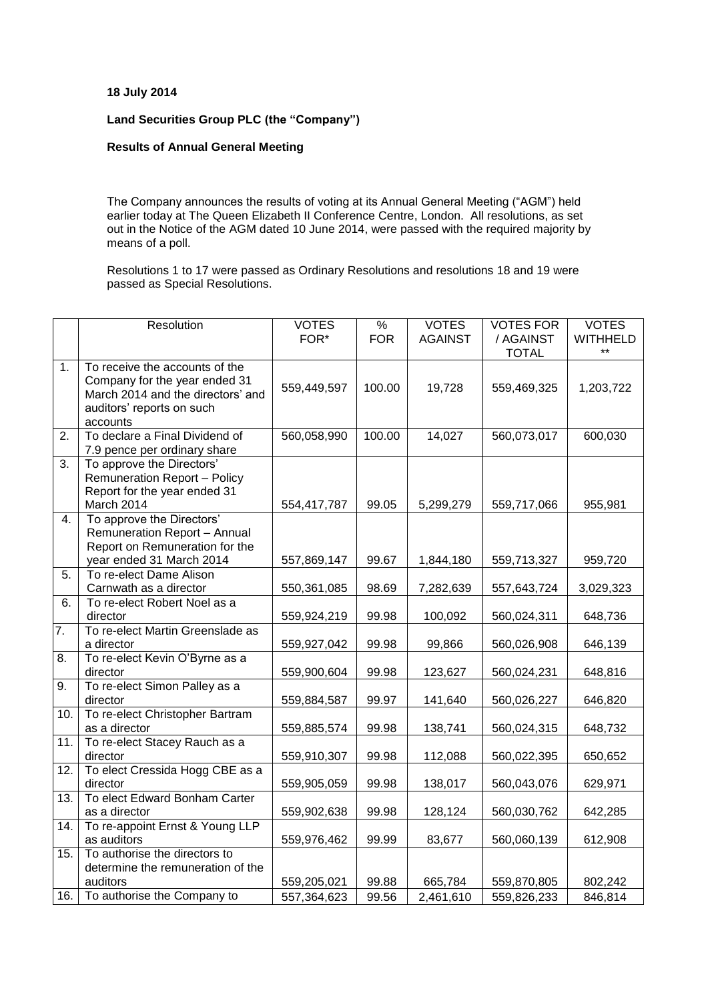## **18 July 2014**

## **Land Securities Group PLC (the "Company")**

## **Results of Annual General Meeting**

The Company announces the results of voting at its Annual General Meeting ("AGM") held earlier today at The Queen Elizabeth II Conference Centre, London. All resolutions, as set out in the Notice of the AGM dated 10 June 2014, were passed with the required majority by means of a poll.

Resolutions 1 to 17 were passed as Ordinary Resolutions and resolutions 18 and 19 were passed as Special Resolutions.

|                   | Resolution                                                                                                                                    | <b>VOTES</b><br>FOR* | $\%$<br><b>FOR</b> | <b>VOTES</b><br><b>AGAINST</b> | <b>VOTES FOR</b><br>/ AGAINST<br><b>TOTAL</b> | <b>VOTES</b><br><b>WITHHELD</b><br>$***$ |
|-------------------|-----------------------------------------------------------------------------------------------------------------------------------------------|----------------------|--------------------|--------------------------------|-----------------------------------------------|------------------------------------------|
| 1 <sub>1</sub>    | To receive the accounts of the<br>Company for the year ended 31<br>March 2014 and the directors' and<br>auditors' reports on such<br>accounts | 559,449,597          | 100.00             | 19,728                         | 559,469,325                                   | 1,203,722                                |
| 2.                | To declare a Final Dividend of<br>7.9 pence per ordinary share                                                                                | 560,058,990          | 100.00             | 14,027                         | 560,073,017                                   | 600,030                                  |
| 3.                | To approve the Directors'<br><b>Remuneration Report - Policy</b><br>Report for the year ended 31<br>March 2014                                | 554,417,787          | 99.05              | 5,299,279                      | 559,717,066                                   | 955,981                                  |
| 4.                | To approve the Directors'<br><b>Remuneration Report - Annual</b><br>Report on Remuneration for the<br>year ended 31 March 2014                | 557,869,147          | 99.67              | 1,844,180                      | 559,713,327                                   | 959,720                                  |
| 5.                | To re-elect Dame Alison<br>Carnwath as a director                                                                                             | 550,361,085          | 98.69              | 7,282,639                      | 557,643,724                                   | 3,029,323                                |
| 6.                | To re-elect Robert Noel as a<br>director                                                                                                      | 559,924,219          | 99.98              | 100,092                        | 560,024,311                                   | 648,736                                  |
| $\overline{7}$ .  | To re-elect Martin Greenslade as<br>a director                                                                                                | 559,927,042          | 99.98              | 99,866                         | 560,026,908                                   | 646,139                                  |
| 8.                | To re-elect Kevin O'Byrne as a<br>director                                                                                                    | 559,900,604          | 99.98              | 123,627                        | 560,024,231                                   | 648,816                                  |
| 9.                | To re-elect Simon Palley as a<br>director                                                                                                     | 559,884,587          | 99.97              | 141,640                        | 560,026,227                                   | 646,820                                  |
| 10.               | To re-elect Christopher Bartram<br>as a director                                                                                              | 559,885,574          | 99.98              | 138,741                        | 560,024,315                                   | 648,732                                  |
| 11.               | To re-elect Stacey Rauch as a<br>director                                                                                                     | 559,910,307          | 99.98              | 112,088                        | 560,022,395                                   | 650,652                                  |
| 12.               | To elect Cressida Hogg CBE as a<br>director                                                                                                   | 559,905,059          | 99.98              | 138,017                        | 560,043,076                                   | 629,971                                  |
| $\overline{13}$ . | To elect Edward Bonham Carter<br>as a director                                                                                                | 559,902,638          | 99.98              | 128,124                        | 560,030,762                                   | 642,285                                  |
| 14.               | To re-appoint Ernst & Young LLP<br>as auditors                                                                                                | 559,976,462          | 99.99              | 83,677                         | 560,060,139                                   | 612,908                                  |
| 15.               | To authorise the directors to<br>determine the remuneration of the<br>auditors                                                                | 559,205,021          | 99.88              | 665,784                        | 559,870,805                                   | 802,242                                  |
| 16.               | To authorise the Company to                                                                                                                   | 557,364,623          | 99.56              | 2,461,610                      | 559,826,233                                   | 846,814                                  |